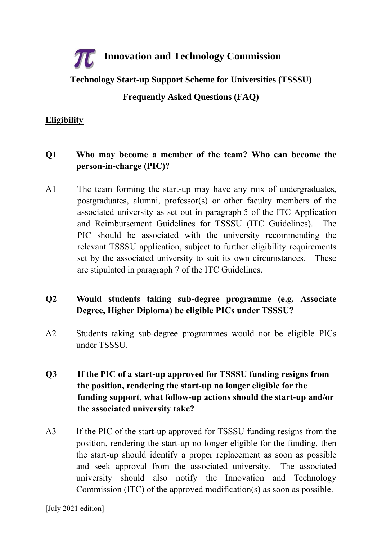# **Innovation and Technology Commission**

**Technology Start-up Support Scheme for Universities (TSSSU)**

# **Frequently Asked Questions (FAQ)**

#### **Eligibility**

# **Q1 Who may become a member of the team? Who can become the person-in-charge (PIC)?**

A1 The team forming the start-up may have any mix of undergraduates, postgraduates, alumni, professor(s) or other faculty members of the associated university as set out in paragraph 5 of the ITC Application and Reimbursement Guidelines for TSSSU (ITC Guidelines). The PIC should be associated with the university recommending the relevant TSSSU application, subject to further eligibility requirements set by the associated university to suit its own circumstances. These are stipulated in paragraph 7 of the ITC Guidelines.

# **Q2 Would students taking sub-degree programme (e.g. Associate Degree, Higher Diploma) be eligible PICs under TSSSU?**

A2 Students taking sub-degree programmes would not be eligible PICs under TSSSU.

# **Q3 If the PIC of a start-up approved for TSSSU funding resigns from the position, rendering the start-up no longer eligible for the funding support, what follow-up actions should the start-up and/or the associated university take?**

A3 If the PIC of the start-up approved for TSSSU funding resigns from the position, rendering the start-up no longer eligible for the funding, then the start-up should identify a proper replacement as soon as possible and seek approval from the associated university. The associated university should also notify the Innovation and Technology Commission (ITC) of the approved modification(s) as soon as possible.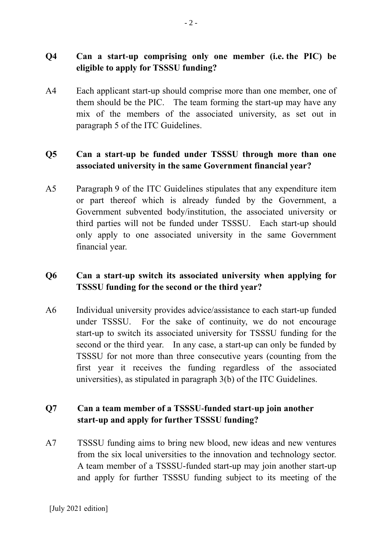# **Q4 Can a start-up comprising only one member (i.e. the PIC) be eligible to apply for TSSSU funding?**

A4 Each applicant start-up should comprise more than one member, one of them should be the PIC. The team forming the start-up may have any mix of the members of the associated university, as set out in paragraph 5 of the ITC Guidelines.

#### **Q5 Can a start-up be funded under TSSSU through more than one associated university in the same Government financial year?**

A5 Paragraph 9 of the ITC Guidelines stipulates that any expenditure item or part thereof which is already funded by the Government, a Government subvented body/institution, the associated university or third parties will not be funded under TSSSU. Each start-up should only apply to one associated university in the same Government financial year.

# **Q6 Can a start-up switch its associated university when applying for TSSSU funding for the second or the third year?**

A6 Individual university provides advice/assistance to each start-up funded under TSSSU. For the sake of continuity, we do not encourage start-up to switch its associated university for TSSSU funding for the second or the third year. In any case, a start-up can only be funded by TSSSU for not more than three consecutive years (counting from the first year it receives the funding regardless of the associated universities), as stipulated in paragraph 3(b) of the ITC Guidelines.

# **Q7 Can a team member of a TSSSU-funded start-up join another start-up and apply for further TSSSU funding?**

A7 TSSSU funding aims to bring new blood, new ideas and new ventures from the six local universities to the innovation and technology sector. A team member of a TSSSU-funded start-up may join another start-up and apply for further TSSSU funding subject to its meeting of the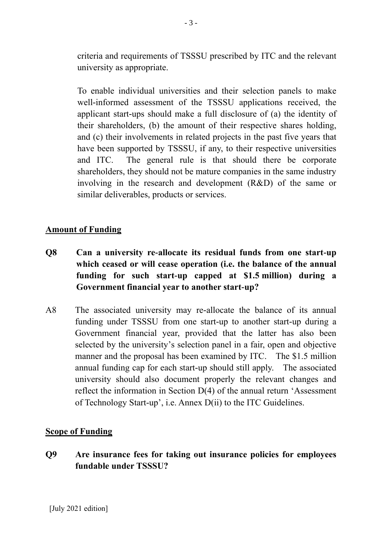criteria and requirements of TSSSU prescribed by ITC and the relevant university as appropriate.

To enable individual universities and their selection panels to make well-informed assessment of the TSSSU applications received, the applicant start-ups should make a full disclosure of (a) the identity of their shareholders, (b) the amount of their respective shares holding, and (c) their involvements in related projects in the past five years that have been supported by TSSSU, if any, to their respective universities and ITC. The general rule is that should there be corporate shareholders, they should not be mature companies in the same industry involving in the research and development (R&D) of the same or similar deliverables, products or services.

#### **Amount of Funding**

- **Q8 Can a university re-allocate its residual funds from one start-up which ceased or will cease operation (i.e. the balance of the annual funding for such start-up capped at \$1.5 million) during a Government financial year to another start-up?**
- A8 The associated university may re-allocate the balance of its annual funding under TSSSU from one start-up to another start-up during a Government financial year, provided that the latter has also been selected by the university's selection panel in a fair, open and objective manner and the proposal has been examined by ITC. The \$1.5 million annual funding cap for each start-up should still apply. The associated university should also document properly the relevant changes and reflect the information in Section D(4) of the annual return 'Assessment of Technology Start-up', i.e. Annex D(ii) to the ITC Guidelines.

#### **Scope of Funding**

**Q9 Are insurance fees for taking out insurance policies for employees fundable under TSSSU?**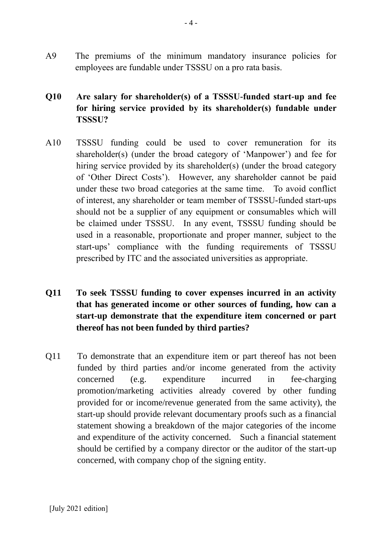A9 The premiums of the minimum mandatory insurance policies for employees are fundable under TSSSU on a pro rata basis.

# **Q10 Are salary for shareholder(s) of a TSSSU-funded start-up and fee for hiring service provided by its shareholder(s) fundable under TSSSU?**

- A10 TSSSU funding could be used to cover remuneration for its shareholder(s) (under the broad category of 'Manpower') and fee for hiring service provided by its shareholder(s) (under the broad category of 'Other Direct Costs'). However, any shareholder cannot be paid under these two broad categories at the same time. To avoid conflict of interest, any shareholder or team member of TSSSU-funded start-ups should not be a supplier of any equipment or consumables which will be claimed under TSSSU. In any event, TSSSU funding should be used in a reasonable, proportionate and proper manner, subject to the start-ups' compliance with the funding requirements of TSSSU prescribed by ITC and the associated universities as appropriate.
- **Q11 To seek TSSSU funding to cover expenses incurred in an activity that has generated income or other sources of funding, how can a start-up demonstrate that the expenditure item concerned or part thereof has not been funded by third parties?**
- Q11 To demonstrate that an expenditure item or part thereof has not been funded by third parties and/or income generated from the activity concerned (e.g. expenditure incurred in fee-charging promotion/marketing activities already covered by other funding provided for or income/revenue generated from the same activity), the start-up should provide relevant documentary proofs such as a financial statement showing a breakdown of the major categories of the income and expenditure of the activity concerned. Such a financial statement should be certified by a company director or the auditor of the start-up concerned, with company chop of the signing entity.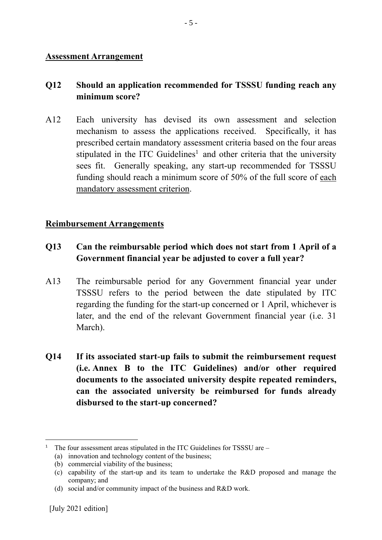#### **Assessment Arrangement**

#### **Q12 Should an application recommended for TSSSU funding reach any minimum score?**

A12 Each university has devised its own assessment and selection mechanism to assess the applications received. Specifically, it has prescribed certain mandatory assessment criteria based on the four areas stipulated in the ITC Guidelines<sup>1</sup> and other criteria that the university sees fit. Generally speaking, any start-up recommended for TSSSU funding should reach a minimum score of 50% of the full score of each mandatory assessment criterion.

#### **Reimbursement Arrangements**

- **Q13 Can the reimbursable period which does not start from 1 April of a Government financial year be adjusted to cover a full year?**
- A13 The reimbursable period for any Government financial year under TSSSU refers to the period between the date stipulated by ITC regarding the funding for the start-up concerned or 1 April, whichever is later, and the end of the relevant Government financial year (i.e. 31 March).
- **Q14 If its associated start-up fails to submit the reimbursement request (i.e. Annex B to the ITC Guidelines) and/or other required documents to the associated university despite repeated reminders, can the associated university be reimbursed for funds already disbursed to the start-up concerned?**

<sup>-</sup><sup>1</sup> The four assessment areas stipulated in the ITC Guidelines for TSSSU are  $-$ 

<sup>(</sup>a) innovation and technology content of the business;

<sup>(</sup>b) commercial viability of the business;

<sup>(</sup>c) capability of the start-up and its team to undertake the R&D proposed and manage the company; and

<sup>(</sup>d) social and/or community impact of the business and R&D work.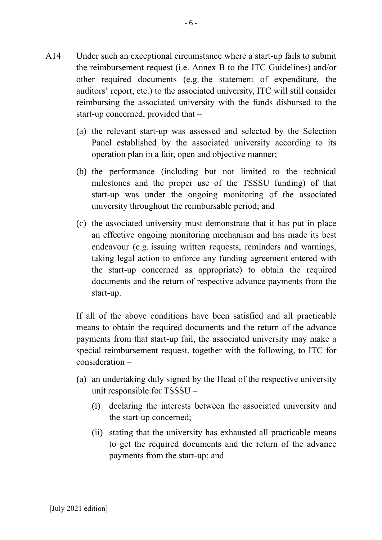- A14 Under such an exceptional circumstance where a start-up fails to submit the reimbursement request (i.e. Annex B to the ITC Guidelines) and/or other required documents (e.g. the statement of expenditure, the auditors' report, etc.) to the associated university, ITC will still consider reimbursing the associated university with the funds disbursed to the start-up concerned, provided that –
	- (a) the relevant start-up was assessed and selected by the Selection Panel established by the associated university according to its operation plan in a fair, open and objective manner;
	- (b) the performance (including but not limited to the technical milestones and the proper use of the TSSSU funding) of that start-up was under the ongoing monitoring of the associated university throughout the reimbursable period; and
	- (c) the associated university must demonstrate that it has put in place an effective ongoing monitoring mechanism and has made its best endeavour (e.g. issuing written requests, reminders and warnings, taking legal action to enforce any funding agreement entered with the start-up concerned as appropriate) to obtain the required documents and the return of respective advance payments from the start-up.

If all of the above conditions have been satisfied and all practicable means to obtain the required documents and the return of the advance payments from that start-up fail, the associated university may make a special reimbursement request, together with the following, to ITC for consideration –

- (a) an undertaking duly signed by the Head of the respective university unit responsible for TSSSU –
	- (i) declaring the interests between the associated university and the start-up concerned;
	- (ii) stating that the university has exhausted all practicable means to get the required documents and the return of the advance payments from the start-up; and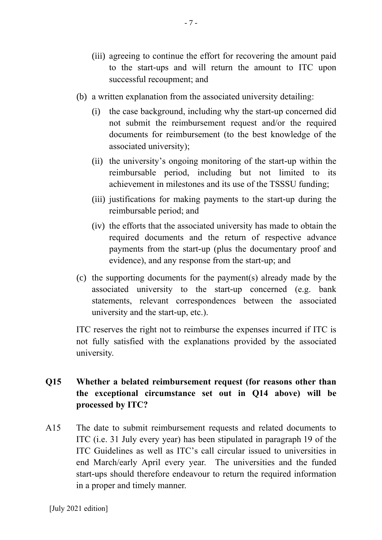- (iii) agreeing to continue the effort for recovering the amount paid to the start-ups and will return the amount to ITC upon successful recoupment; and
- (b) a written explanation from the associated university detailing:
	- (i) the case background, including why the start-up concerned did not submit the reimbursement request and/or the required documents for reimbursement (to the best knowledge of the associated university);
	- (ii) the university's ongoing monitoring of the start-up within the reimbursable period, including but not limited to its achievement in milestones and its use of the TSSSU funding;
	- (iii) justifications for making payments to the start-up during the reimbursable period; and
	- (iv) the efforts that the associated university has made to obtain the required documents and the return of respective advance payments from the start-up (plus the documentary proof and evidence), and any response from the start-up; and
- (c) the supporting documents for the payment(s) already made by the associated university to the start-up concerned (e.g. bank statements, relevant correspondences between the associated university and the start-up, etc.).

ITC reserves the right not to reimburse the expenses incurred if ITC is not fully satisfied with the explanations provided by the associated university.

## **Q15 Whether a belated reimbursement request (for reasons other than the exceptional circumstance set out in Q14 above) will be processed by ITC?**

A15 The date to submit reimbursement requests and related documents to ITC (i.e. 31 July every year) has been stipulated in paragraph 19 of the ITC Guidelines as well as ITC's call circular issued to universities in end March/early April every year. The universities and the funded start-ups should therefore endeavour to return the required information in a proper and timely manner.

[July 2021 edition]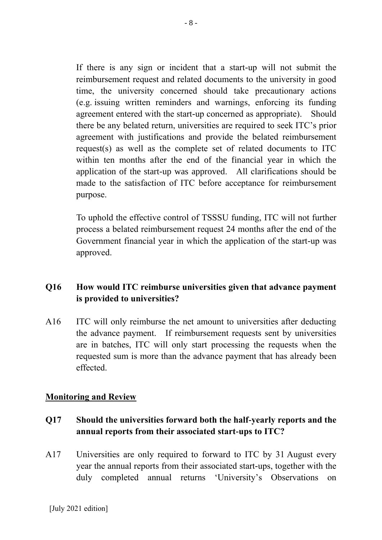If there is any sign or incident that a start-up will not submit the reimbursement request and related documents to the university in good time, the university concerned should take precautionary actions (e.g. issuing written reminders and warnings, enforcing its funding agreement entered with the start-up concerned as appropriate). Should there be any belated return, universities are required to seek ITC's prior agreement with justifications and provide the belated reimbursement request(s) as well as the complete set of related documents to ITC within ten months after the end of the financial year in which the application of the start-up was approved. All clarifications should be made to the satisfaction of ITC before acceptance for reimbursement purpose.

To uphold the effective control of TSSSU funding, ITC will not further process a belated reimbursement request 24 months after the end of the Government financial year in which the application of the start-up was approved.

# **Q16 How would ITC reimburse universities given that advance payment is provided to universities?**

A16 ITC will only reimburse the net amount to universities after deducting the advance payment. If reimbursement requests sent by universities are in batches, ITC will only start processing the requests when the requested sum is more than the advance payment that has already been effected.

#### **Monitoring and Review**

## **Q17 Should the universities forward both the half-yearly reports and the annual reports from their associated start-ups to ITC?**

A17 Universities are only required to forward to ITC by 31 August every year the annual reports from their associated start-ups, together with the duly completed annual returns 'University's Observations on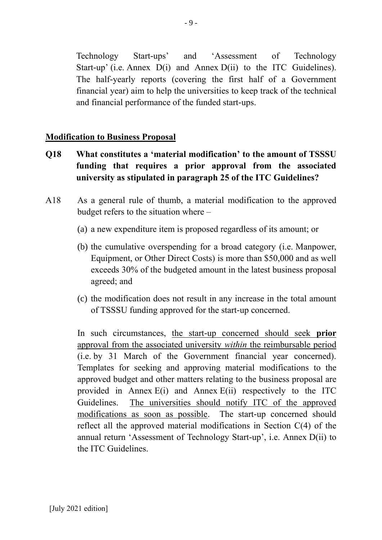Technology Start-ups' and 'Assessment of Technology Start-up' (i.e. Annex D(i) and Annex D(ii) to the ITC Guidelines). The half-yearly reports (covering the first half of a Government financial year) aim to help the universities to keep track of the technical and financial performance of the funded start-ups.

#### **Modification to Business Proposal**

- **Q18 What constitutes a 'material modification' to the amount of TSSSU funding that requires a prior approval from the associated university as stipulated in paragraph 25 of the ITC Guidelines?**
- A18 As a general rule of thumb, a material modification to the approved budget refers to the situation where –
	- (a) a new expenditure item is proposed regardless of its amount; or
	- (b) the cumulative overspending for a broad category (i.e. Manpower, Equipment, or Other Direct Costs) is more than \$50,000 and as well exceeds 30% of the budgeted amount in the latest business proposal agreed; and
	- (c) the modification does not result in any increase in the total amount of TSSSU funding approved for the start-up concerned.

In such circumstances, the start-up concerned should seek **prior** approval from the associated university *within* the reimbursable period (i.e. by 31 March of the Government financial year concerned). Templates for seeking and approving material modifications to the approved budget and other matters relating to the business proposal are provided in Annex  $E(i)$  and Annex  $E(i)$  respectively to the ITC Guidelines. The universities should notify ITC of the approved modifications as soon as possible. The start-up concerned should reflect all the approved material modifications in Section C(4) of the annual return 'Assessment of Technology Start-up', i.e. Annex D(ii) to the ITC Guidelines.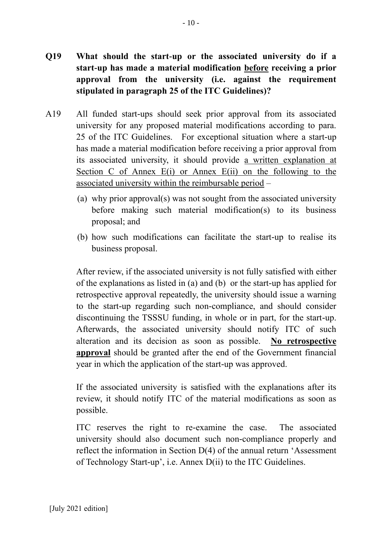- **Q19 What should the start-up or the associated university do if a start-up has made a material modification before receiving a prior approval from the university (i.e. against the requirement stipulated in paragraph 25 of the ITC Guidelines)?**
- A19 All funded start-ups should seek prior approval from its associated university for any proposed material modifications according to para. 25 of the ITC Guidelines. For exceptional situation where a start-up has made a material modification before receiving a prior approval from its associated university, it should provide a written explanation at Section C of Annex E(i) or Annex E(ii) on the following to the associated university within the reimbursable period –
	- (a) why prior approval(s) was not sought from the associated university before making such material modification(s) to its business proposal; and
	- (b) how such modifications can facilitate the start-up to realise its business proposal.

After review, if the associated university is not fully satisfied with either of the explanations as listed in (a) and (b) or the start-up has applied for retrospective approval repeatedly, the university should issue a warning to the start-up regarding such non-compliance, and should consider discontinuing the TSSSU funding, in whole or in part, for the start-up. Afterwards, the associated university should notify ITC of such alteration and its decision as soon as possible. **No retrospective approval** should be granted after the end of the Government financial year in which the application of the start-up was approved.

If the associated university is satisfied with the explanations after its review, it should notify ITC of the material modifications as soon as possible.

ITC reserves the right to re-examine the case. The associated university should also document such non-compliance properly and reflect the information in Section D(4) of the annual return 'Assessment of Technology Start-up', i.e. Annex D(ii) to the ITC Guidelines.